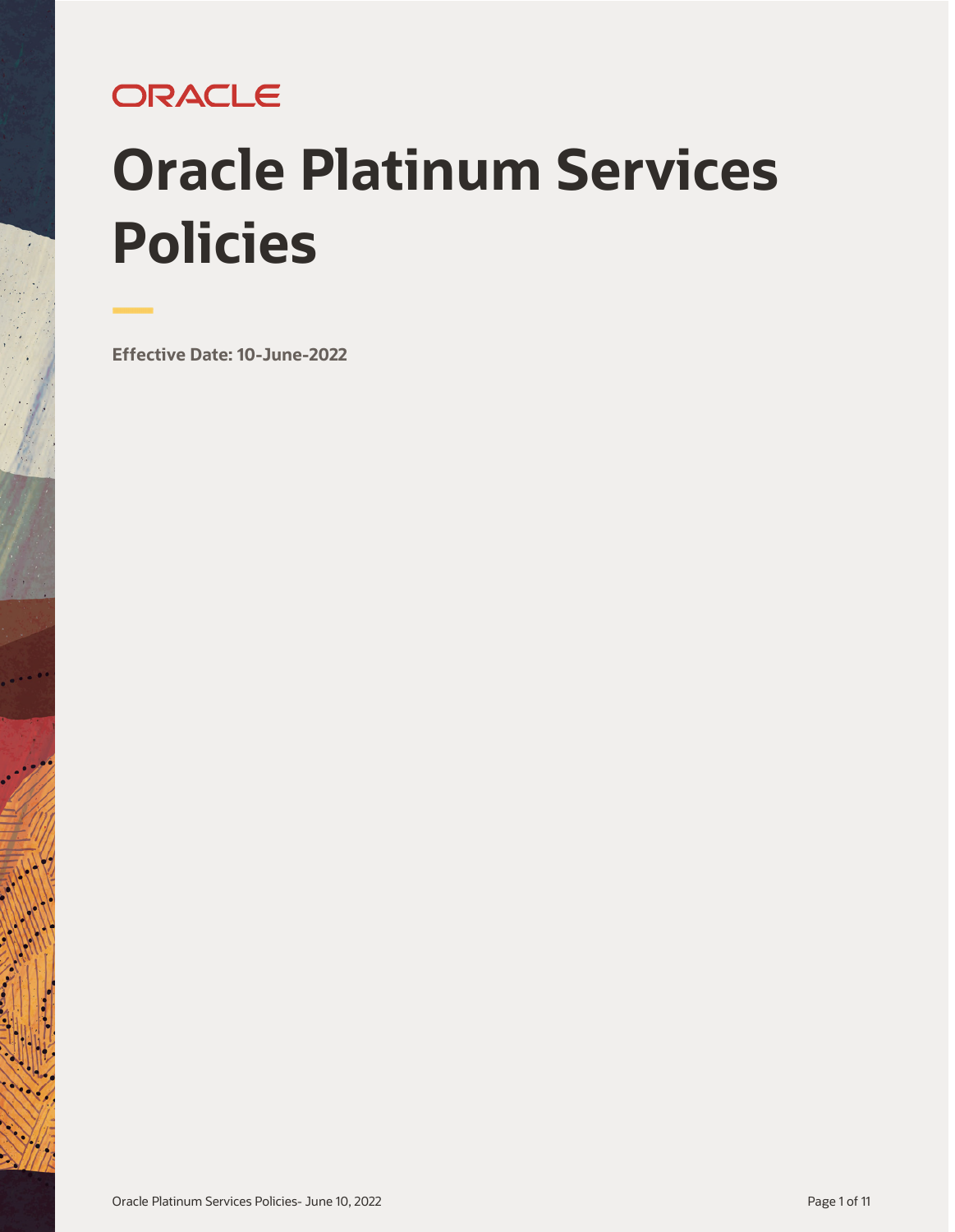# ORACLE

# **Oracle Platinum Services Policies**

**Effective Date: 10-June-2022**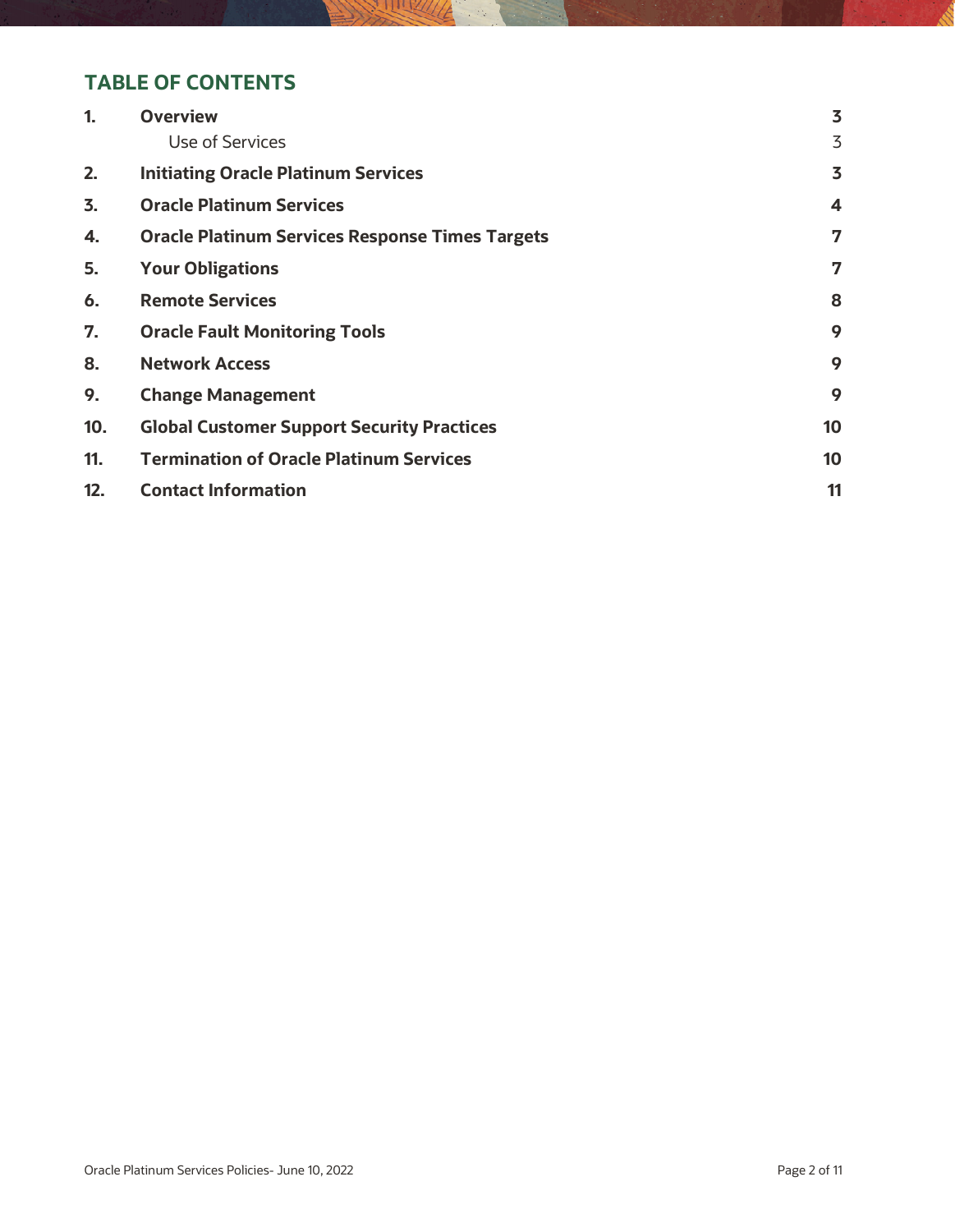#### **TABLE OF CONTENTS**

| $\mathbf{1}$ | <b>Overview</b>                                        | 3  |
|--------------|--------------------------------------------------------|----|
|              | Use of Services                                        | 3  |
| 2.           | <b>Initiating Oracle Platinum Services</b>             | 3  |
| 3.           | <b>Oracle Platinum Services</b>                        | 4  |
| 4.           | <b>Oracle Platinum Services Response Times Targets</b> | 7  |
| 5.           | <b>Your Obligations</b>                                | 7  |
| 6.           | <b>Remote Services</b>                                 | 8  |
| 7.           | <b>Oracle Fault Monitoring Tools</b>                   | 9  |
| 8.           | <b>Network Access</b>                                  | 9  |
| 9.           | <b>Change Management</b>                               | 9  |
| 10.          | <b>Global Customer Support Security Practices</b>      | 10 |
| 11.          | <b>Termination of Oracle Platinum Services</b>         | 10 |
| 12.          | <b>Contact Information</b>                             | 11 |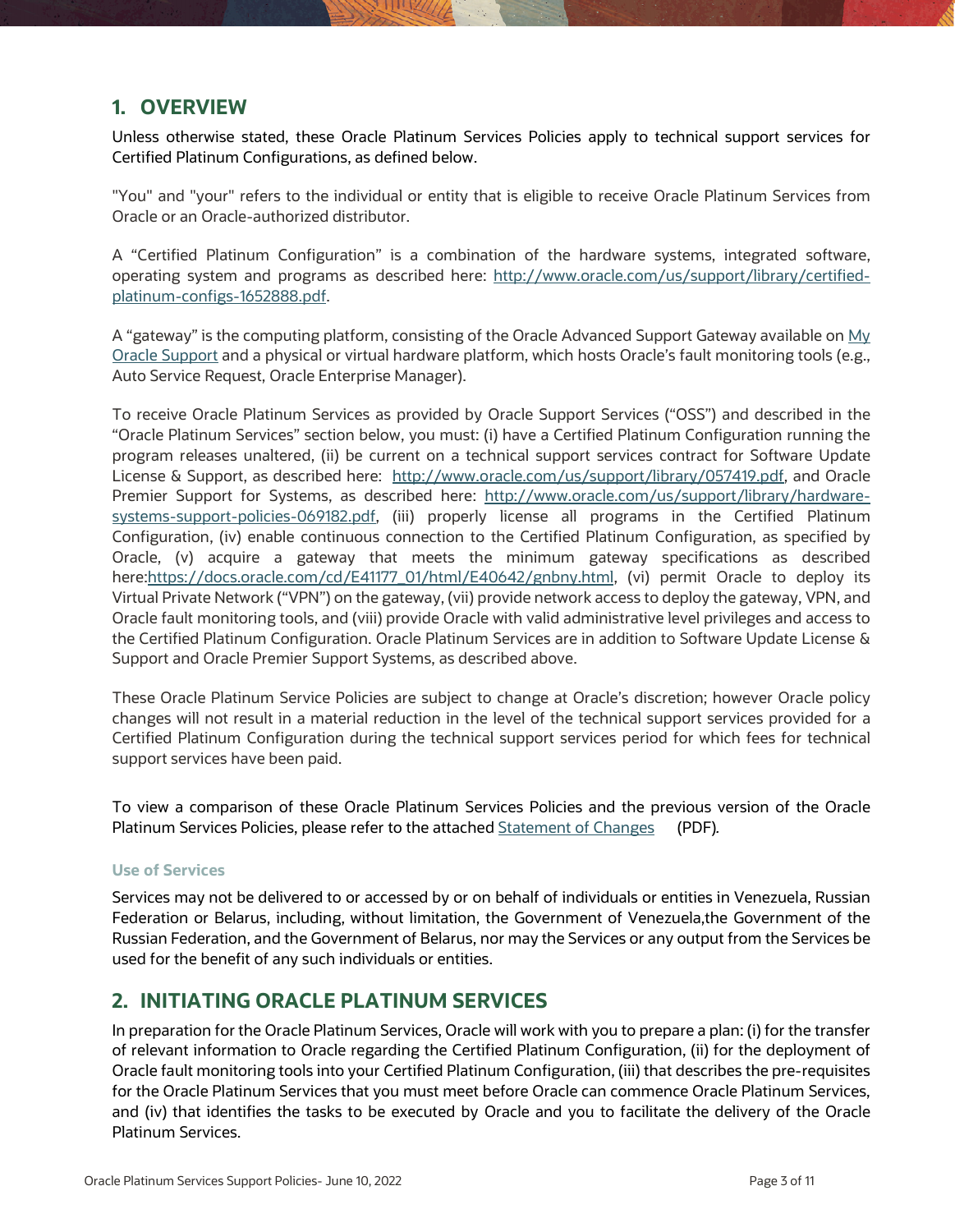#### <span id="page-2-0"></span>**1. OVERVIEW**

Unless otherwise stated, these Oracle Platinum Services Policies apply to technical support services for Certified Platinum Configurations, as defined below.

"You" and "your" refers to the individual or entity that is eligible to receive Oracle Platinum Services from Oracle or an Oracle-authorized distributor.

A "Certified Platinum Configuration" is a combination of the hardware systems, integrated software, operating system and programs as described here: [http://www.oracle.com/us/support/library/certified](http://www.oracle.com/us/support/library/certified-platinum-configs-1652888.pdf)[platinum-configs-1652888.pdf.](http://www.oracle.com/us/support/library/certified-platinum-configs-1652888.pdf)

A "gateway" is the computing platform, consisting of the Oracle Advanced Support Gateway available on My [Oracle Support](https://support.oracle.com/CSP/ui/flash.html) and a physical or virtual hardware platform, which hosts Oracle's fault monitoring tools (e.g., Auto Service Request, Oracle Enterprise Manager).

To receive Oracle Platinum Services as provided by Oracle Support Services ("OSS") and described in the "Oracle Platinum Services" section below, you must: (i) have a Certified Platinum Configuration running the program releases unaltered, (ii) be current on a technical support services contract for Software Update License & Support, as described here: [http://www.oracle.com/us/support/library/057419.pdf,](http://www.oracle.com/us/support/library/057419.pdf) and Oracle Premier Support for Systems, as described here: [http://www.oracle.com/us/support/library/hardware](http://www.oracle.com/us/support/library/hardware-systems-support-policies-069182.pdf)[systems-support-policies-069182.pdf,](http://www.oracle.com/us/support/library/hardware-systems-support-policies-069182.pdf) (iii) properly license all programs in the Certified Platinum Configuration, (iv) enable continuous connection to the Certified Platinum Configuration, as specified by Oracle, (v) acquire a gateway that meets the minimum gateway specifications as described here[:https://docs.oracle.com/cd/E41177\\_01/html/E40642/gnbny.html,](https://docs.oracle.com/cd/E41177_01/html/E40642/gnbny.html) (vi) permit Oracle to deploy its Virtual Private Network ("VPN") on the gateway, (vii) provide network access to deploy the gateway, VPN, and Oracle fault monitoring tools, and (viii) provide Oracle with valid administrative level privileges and access to the Certified Platinum Configuration. Oracle Platinum Services are in addition to Software Update License & Support and Oracle Premier Support Systems, as described above.

These Oracle Platinum Service Policies are subject to change at Oracle's discretion; however Oracle policy changes will not result in a material reduction in the level of the technical support services provided for a Certified Platinum Configuration during the technical support services period for which fees for technical support services have been paid.

To view a comparison of these Oracle Platinum Services Policies and the previous version of the Oracle Platinum Services Policies, please refer to the attache[d Statement of Changes](http://www.oracle.com/us/support/library/platinum-services-policies-soc-1873156.pdf) (PDF)*.* 

#### <span id="page-2-1"></span>**Use of Services**

Services may not be delivered to or accessed by or on behalf of individuals or entities in Venezuela, Russian Federation or Belarus, including, without limitation, the Government of Venezuela,the Government of the Russian Federation, and the Government of Belarus, nor may the Services or any output from the Services be used for the benefit of any such individuals or entities.

#### <span id="page-2-2"></span>**2. INITIATING ORACLE PLATINUM SERVICES**

In preparation for the Oracle Platinum Services, Oracle will work with you to prepare a plan: (i) for the transfer of relevant information to Oracle regarding the Certified Platinum Configuration, (ii) for the deployment of Oracle fault monitoring tools into your Certified Platinum Configuration, (iii) that describes the pre-requisites for the Oracle Platinum Services that you must meet before Oracle can commence Oracle Platinum Services, and (iv) that identifies the tasks to be executed by Oracle and you to facilitate the delivery of the Oracle Platinum Services.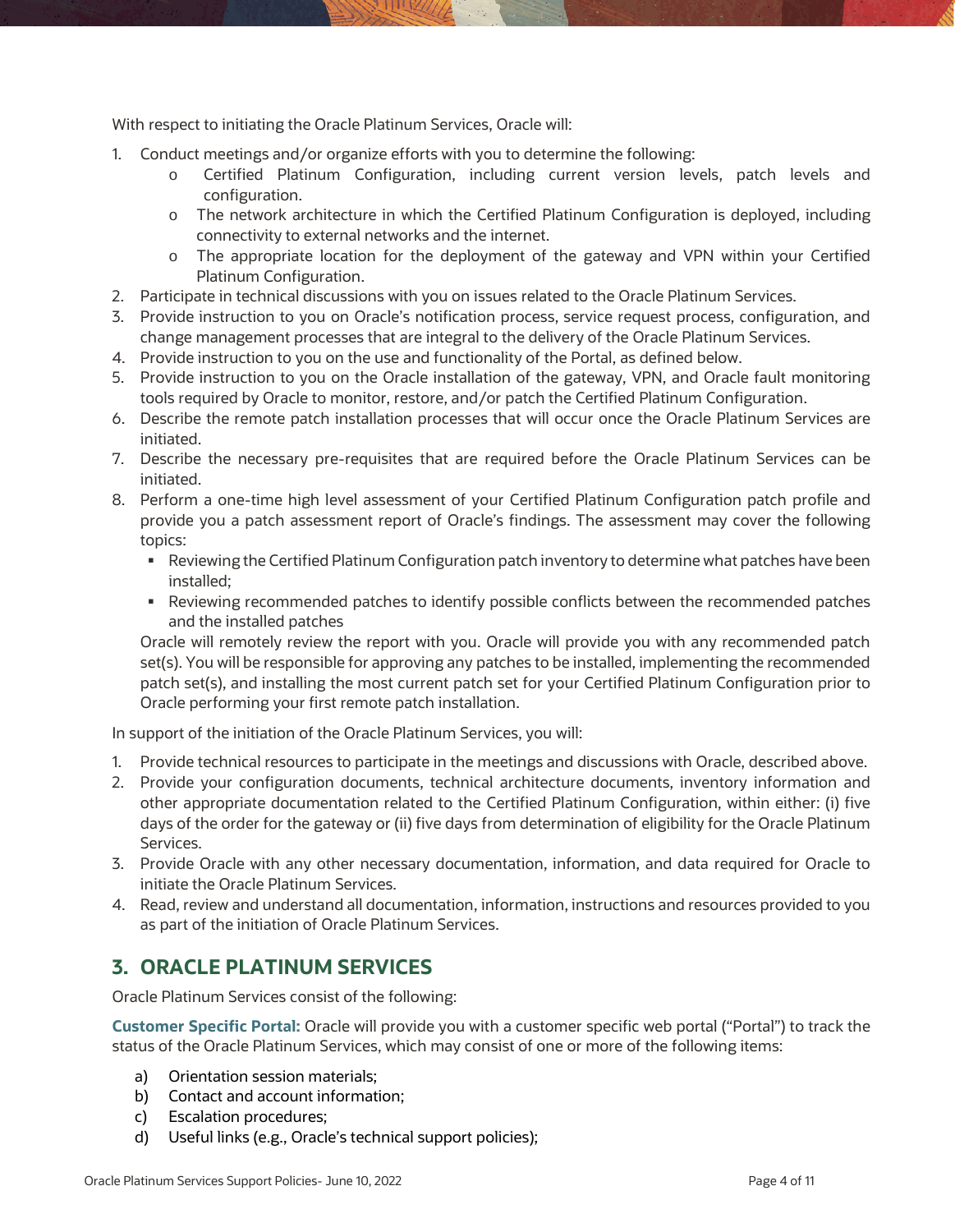With respect to initiating the Oracle Platinum Services, Oracle will:

- 1. Conduct meetings and/or organize efforts with you to determine the following:
	- o Certified Platinum Configuration, including current version levels, patch levels and configuration.
	- o The network architecture in which the Certified Platinum Configuration is deployed, including connectivity to external networks and the internet.
	- o The appropriate location for the deployment of the gateway and VPN within your Certified Platinum Configuration.
- 2. Participate in technical discussions with you on issues related to the Oracle Platinum Services.
- 3. Provide instruction to you on Oracle's notification process, service request process, configuration, and change management processes that are integral to the delivery of the Oracle Platinum Services.
- 4. Provide instruction to you on the use and functionality of the Portal, as defined below.
- 5. Provide instruction to you on the Oracle installation of the gateway, VPN, and Oracle fault monitoring tools required by Oracle to monitor, restore, and/or patch the Certified Platinum Configuration.
- 6. Describe the remote patch installation processes that will occur once the Oracle Platinum Services are initiated.
- 7. Describe the necessary pre-requisites that are required before the Oracle Platinum Services can be initiated.
- 8. Perform a one-time high level assessment of your Certified Platinum Configuration patch profile and provide you a patch assessment report of Oracle's findings. The assessment may cover the following topics:
	- Reviewing the Certified Platinum Configuration patch inventory to determine what patches have been installed;
	- Reviewing recommended patches to identify possible conflicts between the recommended patches and the installed patches

Oracle will remotely review the report with you. Oracle will provide you with any recommended patch set(s). You will be responsible for approving any patches to be installed, implementing the recommended patch set(s), and installing the most current patch set for your Certified Platinum Configuration prior to Oracle performing your first remote patch installation.

In support of the initiation of the Oracle Platinum Services, you will:

- 1. Provide technical resources to participate in the meetings and discussions with Oracle, described above.
- 2. Provide your configuration documents, technical architecture documents, inventory information and other appropriate documentation related to the Certified Platinum Configuration, within either: (i) five days of the order for the gateway or (ii) five days from determination of eligibility for the Oracle Platinum Services.
- 3. Provide Oracle with any other necessary documentation, information, and data required for Oracle to initiate the Oracle Platinum Services.
- 4. Read, review and understand all documentation, information, instructions and resources provided to you as part of the initiation of Oracle Platinum Services.

## <span id="page-3-0"></span>**3. ORACLE PLATINUM SERVICES**

Oracle Platinum Services consist of the following:

**Customer Specific Portal:** Oracle will provide you with a customer specific web portal ("Portal") to track the status of the Oracle Platinum Services, which may consist of one or more of the following items:

- a) Orientation session materials;
- b) Contact and account information;
- c) Escalation procedures;
- d) Useful links (e.g., Oracle's technical support policies);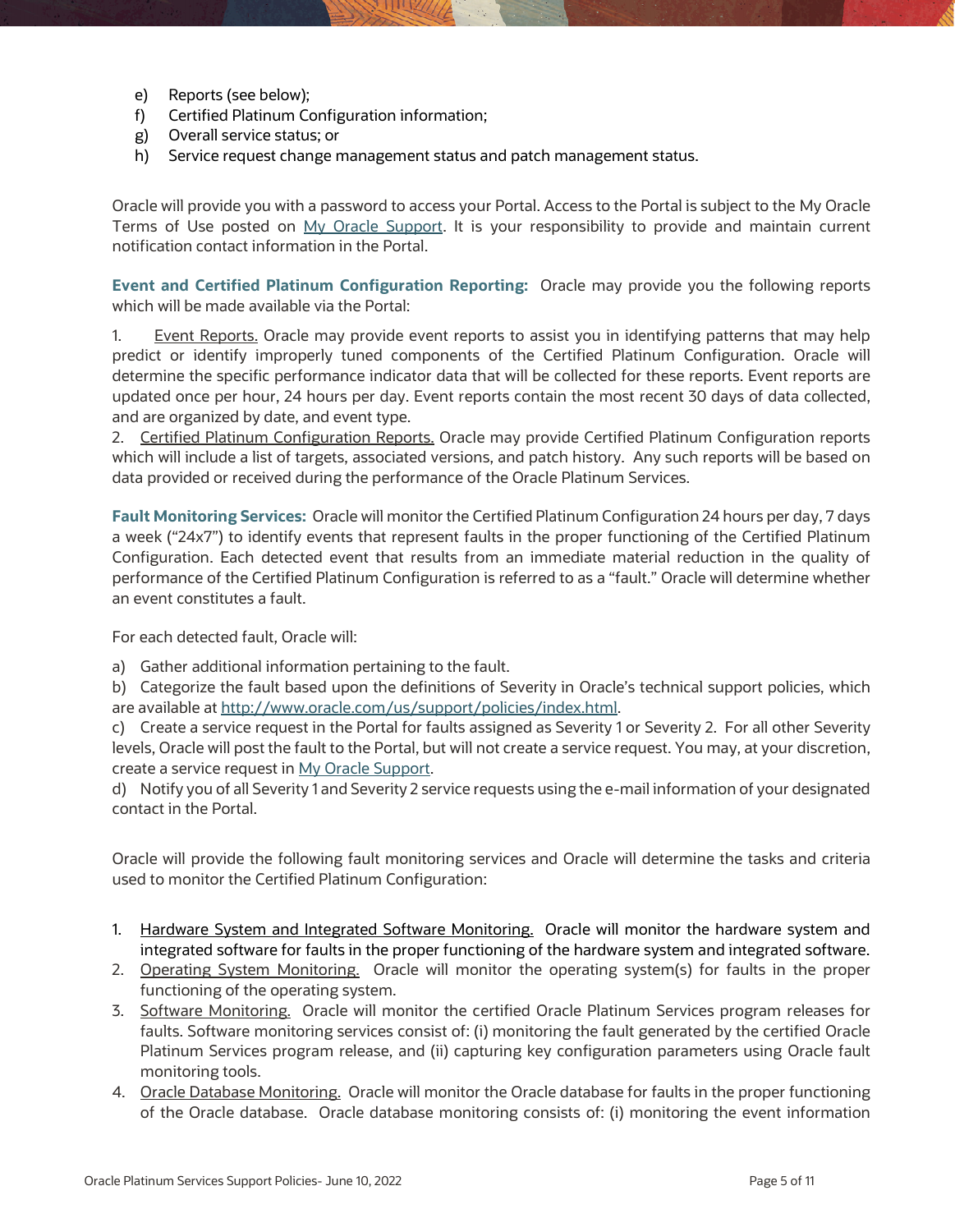- e) Reports (see below);
- f) Certified Platinum Configuration information;
- g) Overall service status; or
- h) Service request change management status and patch management status.

Oracle will provide you with a password to access your Portal. Access to the Portal is subject to the My Oracle Terms of Use posted on [My Oracle Support.](https://support.oracle.com/CSP/ui/flash.html) It is your responsibility to provide and maintain current notification contact information in the Portal.

**Event and Certified Platinum Configuration Reporting:** Oracle may provide you the following reports which will be made available via the Portal:

1. Event Reports. Oracle may provide event reports to assist you in identifying patterns that may help predict or identify improperly tuned components of the Certified Platinum Configuration. Oracle will determine the specific performance indicator data that will be collected for these reports. Event reports are updated once per hour, 24 hours per day. Event reports contain the most recent 30 days of data collected, and are organized by date, and event type.

2. Certified Platinum Configuration Reports. Oracle may provide Certified Platinum Configuration reports which will include a list of targets, associated versions, and patch history. Any such reports will be based on data provided or received during the performance of the Oracle Platinum Services.

**Fault Monitoring Services:** Oracle will monitor the Certified Platinum Configuration 24 hours per day, 7 days a week ("24x7") to identify events that represent faults in the proper functioning of the Certified Platinum Configuration. Each detected event that results from an immediate material reduction in the quality of performance of the Certified Platinum Configuration is referred to as a "fault." Oracle will determine whether an event constitutes a fault.

For each detected fault, Oracle will:

a) Gather additional information pertaining to the fault.

b) Categorize the fault based upon the definitions of Severity in Oracle's technical support policies, which are available at [http://www.oracle.com/us/support/policies/index.html.](http://www.oracle.com/us/support/policies/index.html)

c) Create a service request in the Portal for faults assigned as Severity 1 or Severity 2. For all other Severity levels, Oracle will post the fault to the Portal, but will not create a service request. You may, at your discretion, create a service request i[n My Oracle Support.](https://support.oracle.com/CSP/ui/flash.html)

d) Notify you of all Severity 1 and Severity 2 service requests using the e-mail information of your designated contact in the Portal.

Oracle will provide the following fault monitoring services and Oracle will determine the tasks and criteria used to monitor the Certified Platinum Configuration:

- 1. Hardware System and Integrated Software Monitoring. Oracle will monitor the hardware system and integrated software for faults in the proper functioning of the hardware system and integrated software.
- 2. Operating System Monitoring. Oracle will monitor the operating system(s) for faults in the proper functioning of the operating system.
- 3. Software Monitoring. Oracle will monitor the certified Oracle Platinum Services program releases for faults. Software monitoring services consist of: (i) monitoring the fault generated by the certified Oracle Platinum Services program release, and (ii) capturing key configuration parameters using Oracle fault monitoring tools.
- 4. Oracle Database Monitoring. Oracle will monitor the Oracle database for faults in the proper functioning of the Oracle database. Oracle database monitoring consists of: (i) monitoring the event information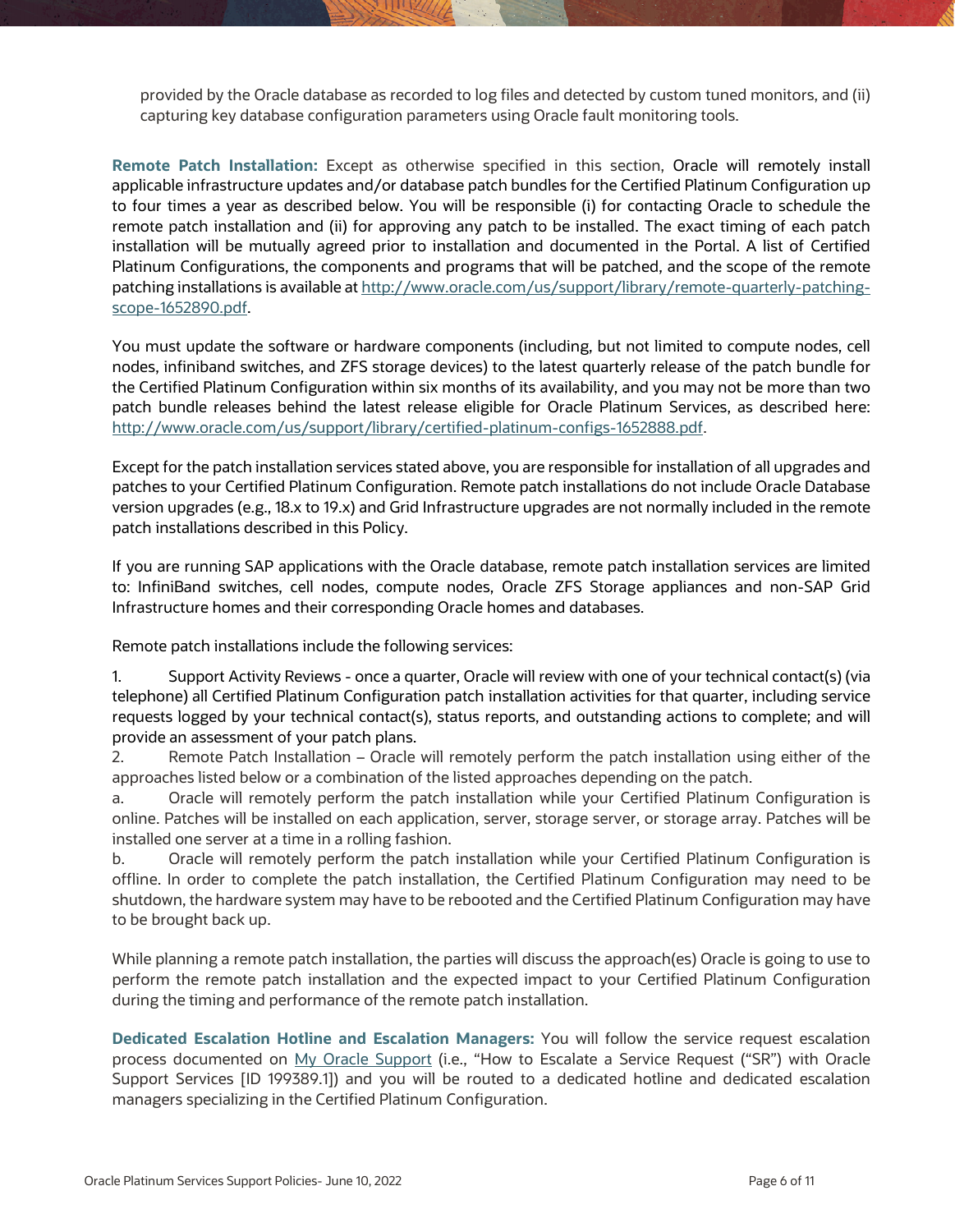provided by the Oracle database as recorded to log files and detected by custom tuned monitors, and (ii) capturing key database configuration parameters using Oracle fault monitoring tools.

**Remote Patch Installation:** Except as otherwise specified in this section, Oracle will remotely install applicable infrastructure updates and/or database patch bundles for the Certified Platinum Configuration up to four times a year as described below. You will be responsible (i) for contacting Oracle to schedule the remote patch installation and (ii) for approving any patch to be installed. The exact timing of each patch installation will be mutually agreed prior to installation and documented in the Portal. A list of Certified Platinum Configurations, the components and programs that will be patched, and the scope of the remote patching installations is available at [http://www.oracle.com/us/support/library/remote-quarterly-patching](http://www.oracle.com/us/support/library/remote-quarterly-patching-scope-1652890.pdf)[scope-1652890.pdf.](http://www.oracle.com/us/support/library/remote-quarterly-patching-scope-1652890.pdf)

You must update the software or hardware components (including, but not limited to compute nodes, cell nodes, infiniband switches, and ZFS storage devices) to the latest quarterly release of the patch bundle for the Certified Platinum Configuration within six months of its availability, and you may not be more than two patch bundle releases behind the latest release eligible for Oracle Platinum Services, as described here: [http://www.oracle.com/us/support/library/certified-platinum-configs-1652888.pdf.](http://www.oracle.com/us/support/library/certified-platinum-configs-1652888.pdf)

Except for the patch installation services stated above, you are responsible for installation of all upgrades and patches to your Certified Platinum Configuration. Remote patch installations do not include Oracle Database version upgrades (e.g., 18.x to 19.x) and Grid Infrastructure upgrades are not normally included in the remote patch installations described in this Policy.

If you are running SAP applications with the Oracle database, remote patch installation services are limited to: InfiniBand switches, cell nodes, compute nodes, Oracle ZFS Storage appliances and non-SAP Grid Infrastructure homes and their corresponding Oracle homes and databases.

Remote patch installations include the following services:

1. Support Activity Reviews - once a quarter, Oracle will review with one of your technical contact(s) (via telephone) all Certified Platinum Configuration patch installation activities for that quarter, including service requests logged by your technical contact(s), status reports, and outstanding actions to complete; and will provide an assessment of your patch plans.

2. Remote Patch Installation – Oracle will remotely perform the patch installation using either of the approaches listed below or a combination of the listed approaches depending on the patch.

a. Oracle will remotely perform the patch installation while your Certified Platinum Configuration is online. Patches will be installed on each application, server, storage server, or storage array. Patches will be installed one server at a time in a rolling fashion.

b. Oracle will remotely perform the patch installation while your Certified Platinum Configuration is offline. In order to complete the patch installation, the Certified Platinum Configuration may need to be shutdown, the hardware system may have to be rebooted and the Certified Platinum Configuration may have to be brought back up.

While planning a remote patch installation, the parties will discuss the approach(es) Oracle is going to use to perform the remote patch installation and the expected impact to your Certified Platinum Configuration during the timing and performance of the remote patch installation.

**Dedicated Escalation Hotline and Escalation Managers:** You will follow the service request escalation process documented on [My Oracle Support](https://support.oracle.com/CSP/ui/flash.html) (i.e., "How to Escalate a Service Request ("SR") with Oracle Support Services [ID 199389.1]) and you will be routed to a dedicated hotline and dedicated escalation managers specializing in the Certified Platinum Configuration.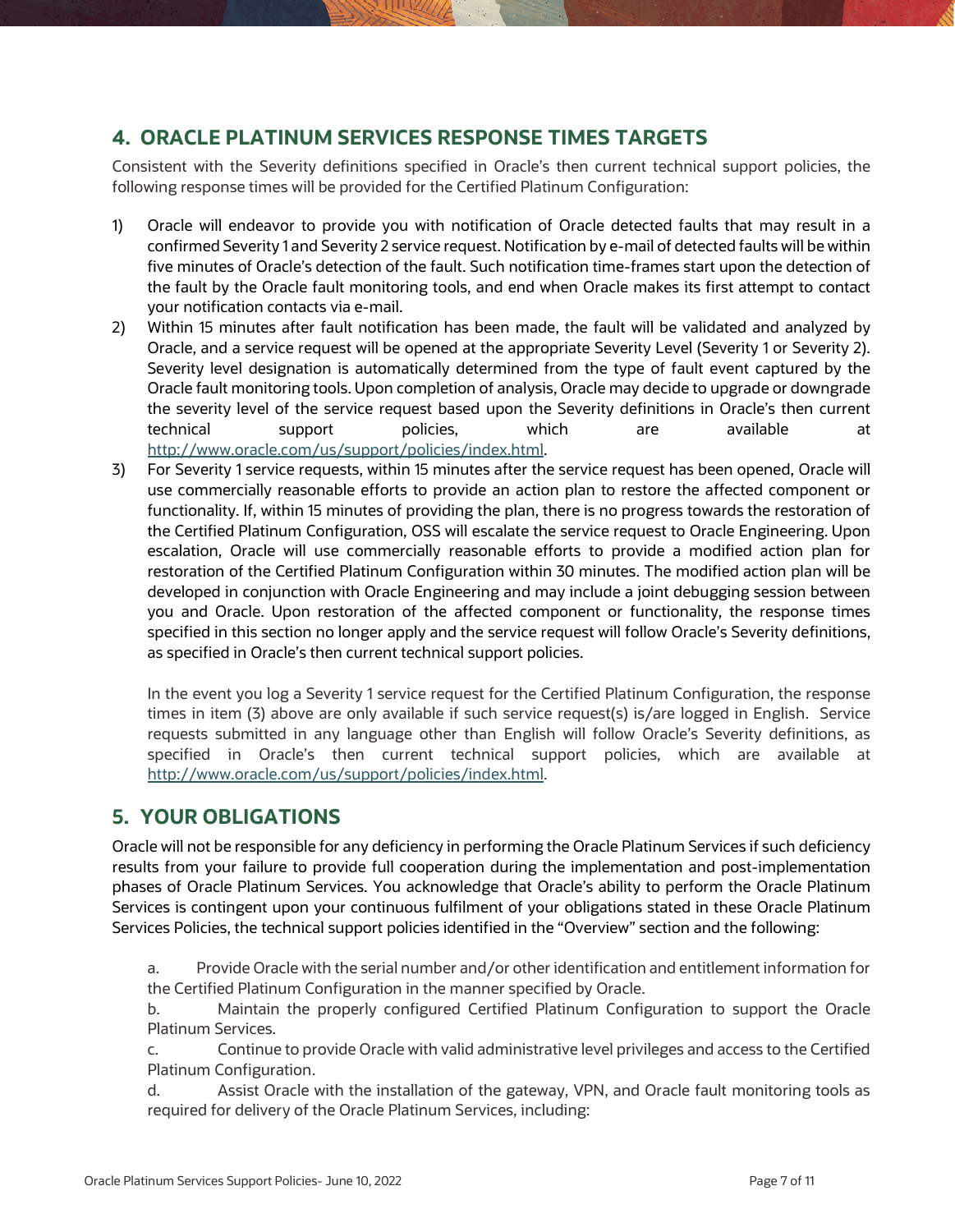#### <span id="page-6-0"></span>**4. ORACLE PLATINUM SERVICES RESPONSE TIMES TARGETS**

Consistent with the Severity definitions specified in Oracle's then current technical support policies, the following response times will be provided for the Certified Platinum Configuration:

- 1) Oracle will endeavor to provide you with notification of Oracle detected faults that may result in a confirmed Severity 1 and Severity 2 service request. Notification by e-mail of detected faults will be within five minutes of Oracle's detection of the fault. Such notification time-frames start upon the detection of the fault by the Oracle fault monitoring tools, and end when Oracle makes its first attempt to contact your notification contacts via e-mail.
- 2) Within 15 minutes after fault notification has been made, the fault will be validated and analyzed by Oracle, and a service request will be opened at the appropriate Severity Level (Severity 1 or Severity 2). Severity level designation is automatically determined from the type of fault event captured by the Oracle fault monitoring tools. Upon completion of analysis, Oracle may decide to upgrade or downgrade the severity level of the service request based upon the Severity definitions in Oracle's then current technical support policies, which are available at [http://www.oracle.com/us/support/policies/index.html.](http://www.oracle.com/us/support/policies/index.html)
- 3) For Severity 1 service requests, within 15 minutes after the service request has been opened, Oracle will use commercially reasonable efforts to provide an action plan to restore the affected component or functionality. If, within 15 minutes of providing the plan, there is no progress towards the restoration of the Certified Platinum Configuration, OSS will escalate the service request to Oracle Engineering. Upon escalation, Oracle will use commercially reasonable efforts to provide a modified action plan for restoration of the Certified Platinum Configuration within 30 minutes. The modified action plan will be developed in conjunction with Oracle Engineering and may include a joint debugging session between you and Oracle. Upon restoration of the affected component or functionality, the response times specified in this section no longer apply and the service request will follow Oracle's Severity definitions, as specified in Oracle's then current technical support policies.

 In the event you log a Severity 1 service request for the Certified Platinum Configuration, the response times in item (3) above are only available if such service request(s) is/are logged in English. Service requests submitted in any language other than English will follow Oracle's Severity definitions, as specified in Oracle's then current technical support policies, which are available at [http://www.oracle.com/us/support/policies/index.html.](http://www.oracle.com/us/support/policies/index.html)

## <span id="page-6-1"></span>**5. YOUR OBLIGATIONS**

Oracle will not be responsible for any deficiency in performing the Oracle Platinum Services if such deficiency results from your failure to provide full cooperation during the implementation and post-implementation phases of Oracle Platinum Services. You acknowledge that Oracle's ability to perform the Oracle Platinum Services is contingent upon your continuous fulfilment of your obligations stated in these Oracle Platinum Services Policies, the technical support policies identified in the "Overview" section and the following:

a. Provide Oracle with the serial number and/or other identification and entitlement information for the Certified Platinum Configuration in the manner specified by Oracle.

b. Maintain the properly configured Certified Platinum Configuration to support the Oracle Platinum Services.

c. Continue to provide Oracle with valid administrative level privileges and access to the Certified Platinum Configuration.

d. Assist Oracle with the installation of the gateway, VPN, and Oracle fault monitoring tools as required for delivery of the Oracle Platinum Services, including: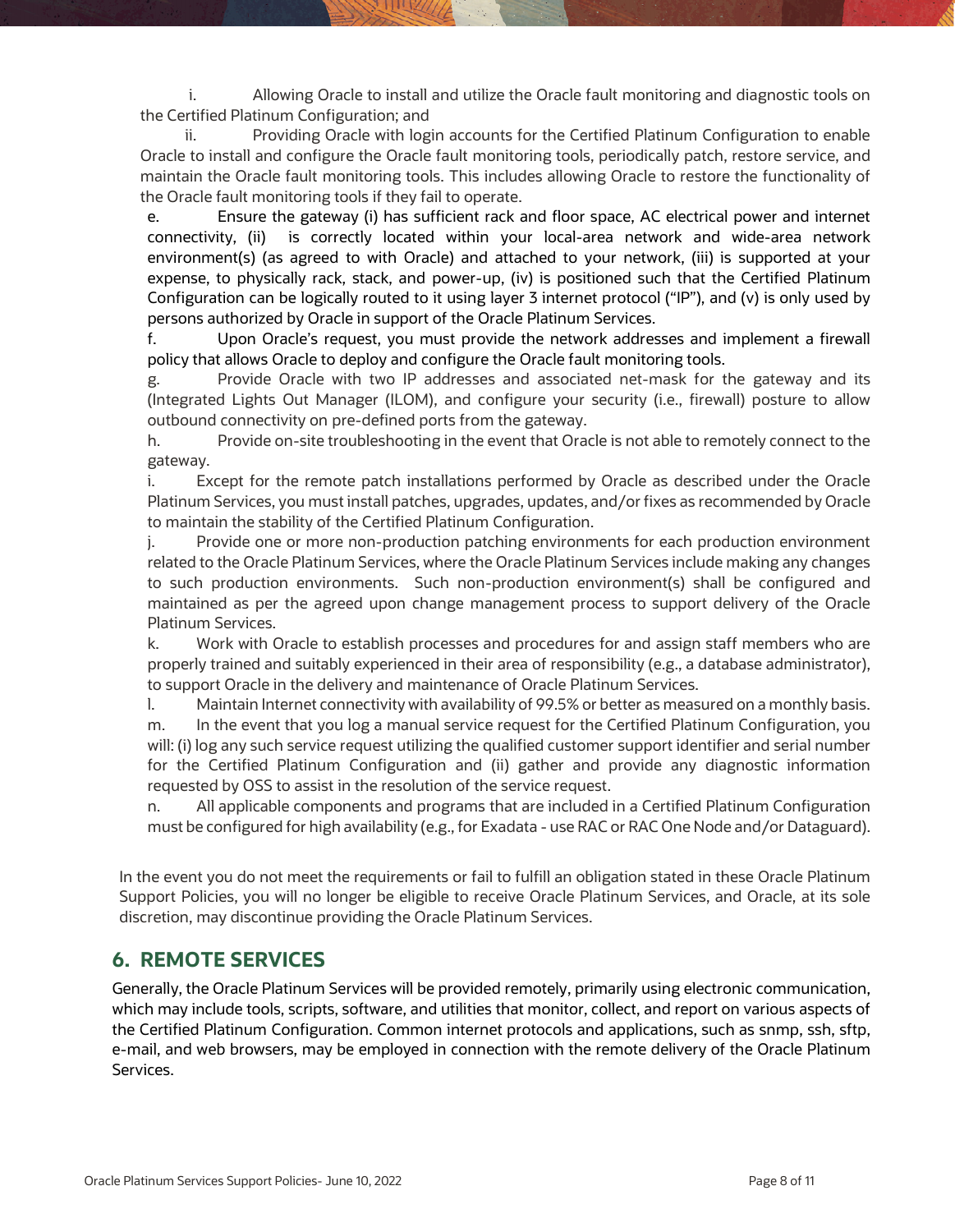Allowing Oracle to install and utilize the Oracle fault monitoring and diagnostic tools on the Certified Platinum Configuration; and

ii. Providing Oracle with login accounts for the Certified Platinum Configuration to enable Oracle to install and configure the Oracle fault monitoring tools, periodically patch, restore service, and maintain the Oracle fault monitoring tools. This includes allowing Oracle to restore the functionality of the Oracle fault monitoring tools if they fail to operate.

e. Ensure the gateway (i) has sufficient rack and floor space, AC electrical power and internet connectivity, (ii) is correctly located within your local-area network and wide-area network environment(s) (as agreed to with Oracle) and attached to your network, (iii) is supported at your expense, to physically rack, stack, and power-up, (iv) is positioned such that the Certified Platinum Configuration can be logically routed to it using layer 3 internet protocol ("IP"), and (v) is only used by persons authorized by Oracle in support of the Oracle Platinum Services.

f. Upon Oracle's request, you must provide the network addresses and implement a firewall policy that allows Oracle to deploy and configure the Oracle fault monitoring tools.

g. Provide Oracle with two IP addresses and associated net-mask for the gateway and its (Integrated Lights Out Manager (ILOM), and configure your security (i.e., firewall) posture to allow outbound connectivity on pre-defined ports from the gateway.

h. Provide on-site troubleshooting in the event that Oracle is not able to remotely connect to the gateway.

i. Except for the remote patch installations performed by Oracle as described under the Oracle Platinum Services, you must install patches, upgrades, updates, and/or fixes as recommended by Oracle to maintain the stability of the Certified Platinum Configuration.

j. Provide one or more non-production patching environments for each production environment related to the Oracle Platinum Services, where the Oracle Platinum Services include making any changes to such production environments. Such non-production environment(s) shall be configured and maintained as per the agreed upon change management process to support delivery of the Oracle Platinum Services.

k. Work with Oracle to establish processes and procedures for and assign staff members who are properly trained and suitably experienced in their area of responsibility (e.g., a database administrator), to support Oracle in the delivery and maintenance of Oracle Platinum Services.

l. Maintain Internet connectivity with availability of 99.5% or better as measured on a monthly basis. m. In the event that you log a manual service request for the Certified Platinum Configuration, you will: (i) log any such service request utilizing the qualified customer support identifier and serial number for the Certified Platinum Configuration and (ii) gather and provide any diagnostic information requested by OSS to assist in the resolution of the service request.

n. All applicable components and programs that are included in a Certified Platinum Configuration must be configured for high availability (e.g., for Exadata - use RAC or RAC One Node and/or Dataguard).

In the event you do not meet the requirements or fail to fulfill an obligation stated in these Oracle Platinum Support Policies, you will no longer be eligible to receive Oracle Platinum Services, and Oracle, at its sole discretion, may discontinue providing the Oracle Platinum Services.

#### <span id="page-7-0"></span>**6. REMOTE SERVICES**

<span id="page-7-1"></span>Generally, the Oracle Platinum Services will be provided remotely, primarily using electronic communication, which may include tools, scripts, software, and utilities that monitor, collect, and report on various aspects of the Certified Platinum Configuration. Common internet protocols and applications, such as snmp, ssh, sftp, e-mail, and web browsers, may be employed in connection with the remote delivery of the Oracle Platinum Services.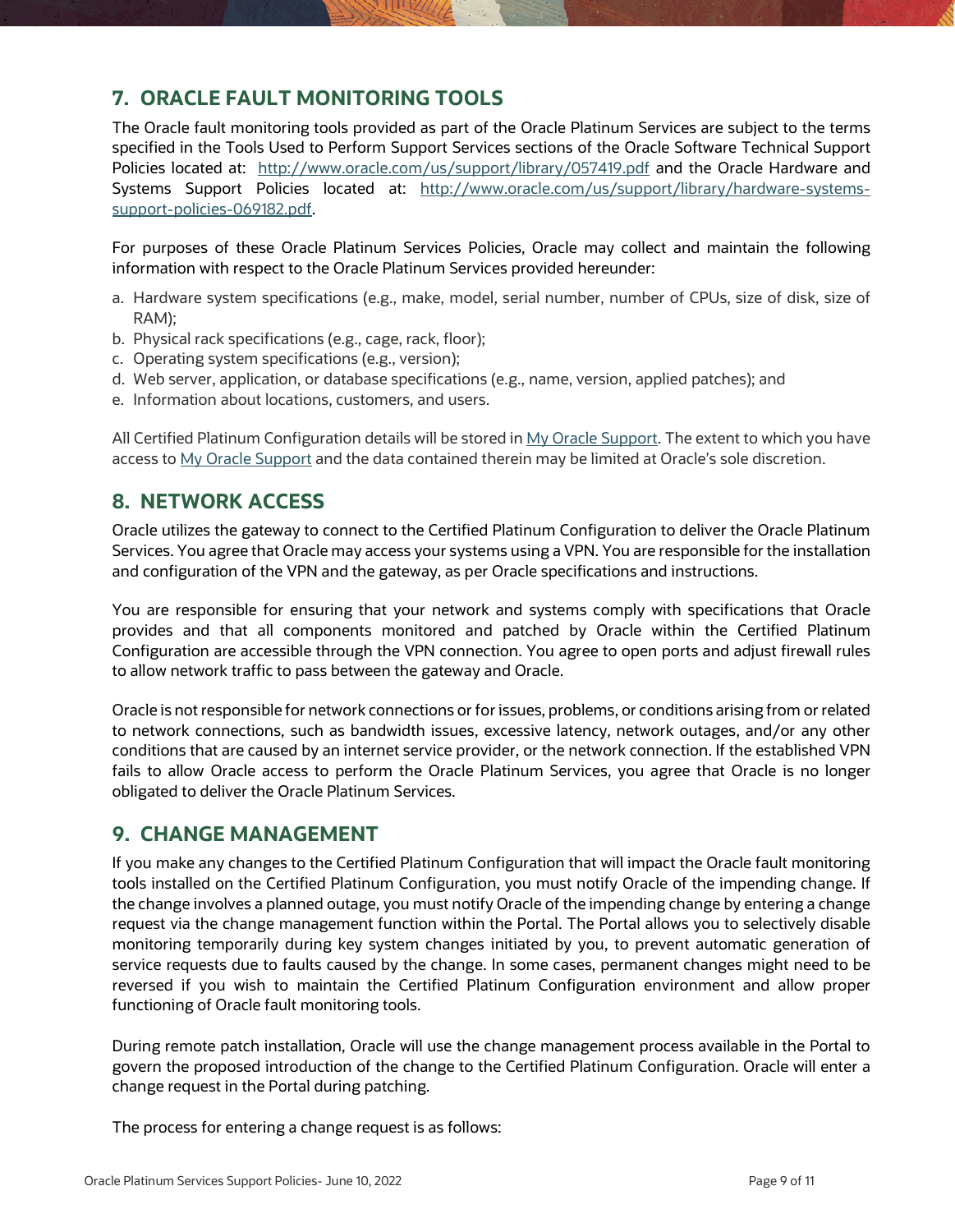#### **7. ORACLE FAULT MONITORING TOOLS**

The Oracle fault monitoring tools provided as part of the Oracle Platinum Services are subject to the terms specified in the Tools Used to Perform Support Services sections of the Oracle Software Technical Support Policies located at: <http://www.oracle.com/us/support/library/057419.pdf>and the Oracle Hardware and Systems Support Policies located at: [http://www.oracle.com/us/support/library/hardware-systems](http://www.oracle.com/us/support/library/hardware-systems-support-policies-069182.pdf)[support-policies-069182.pdf.](http://www.oracle.com/us/support/library/hardware-systems-support-policies-069182.pdf)

For purposes of these Oracle Platinum Services Policies, Oracle may collect and maintain the following information with respect to the Oracle Platinum Services provided hereunder:

- a. Hardware system specifications (e.g., make, model, serial number, number of CPUs, size of disk, size of RAM);
- b. Physical rack specifications (e.g., cage, rack, floor);
- c. Operating system specifications (e.g., version);
- d. Web server, application, or database specifications (e.g., name, version, applied patches); and
- e. Information about locations, customers, and users.

All Certified Platinum Configuration details will be stored i[n My Oracle Support.](https://support.oracle.com/CSP/ui/flash.html) The extent to which you have access t[o My Oracle Support](https://support.oracle.com/CSP/ui/flash.html) and the data contained therein may be limited at Oracle's sole discretion.

#### <span id="page-8-0"></span>**8. NETWORK ACCESS**

Oracle utilizes the gateway to connect to the Certified Platinum Configuration to deliver the Oracle Platinum Services. You agree that Oracle may access your systems using a VPN. You are responsible for the installation and configuration of the VPN and the gateway, as per Oracle specifications and instructions.

You are responsible for ensuring that your network and systems comply with specifications that Oracle provides and that all components monitored and patched by Oracle within the Certified Platinum Configuration are accessible through the VPN connection. You agree to open ports and adjust firewall rules to allow network traffic to pass between the gateway and Oracle.

Oracle is not responsible for network connections or for issues, problems, or conditions arising from or related to network connections, such as bandwidth issues, excessive latency, network outages, and/or any other conditions that are caused by an internet service provider, or the network connection. If the established VPN fails to allow Oracle access to perform the Oracle Platinum Services, you agree that Oracle is no longer obligated to deliver the Oracle Platinum Services.

#### <span id="page-8-1"></span>**9. CHANGE MANAGEMENT**

If you make any changes to the Certified Platinum Configuration that will impact the Oracle fault monitoring tools installed on the Certified Platinum Configuration, you must notify Oracle of the impending change. If the change involves a planned outage, you must notify Oracle of the impending change by entering a change request via the change management function within the Portal. The Portal allows you to selectively disable monitoring temporarily during key system changes initiated by you, to prevent automatic generation of service requests due to faults caused by the change. In some cases, permanent changes might need to be reversed if you wish to maintain the Certified Platinum Configuration environment and allow proper functioning of Oracle fault monitoring tools.

During remote patch installation, Oracle will use the change management process available in the Portal to govern the proposed introduction of the change to the Certified Platinum Configuration. Oracle will enter a change request in the Portal during patching.

The process for entering a change request is as follows: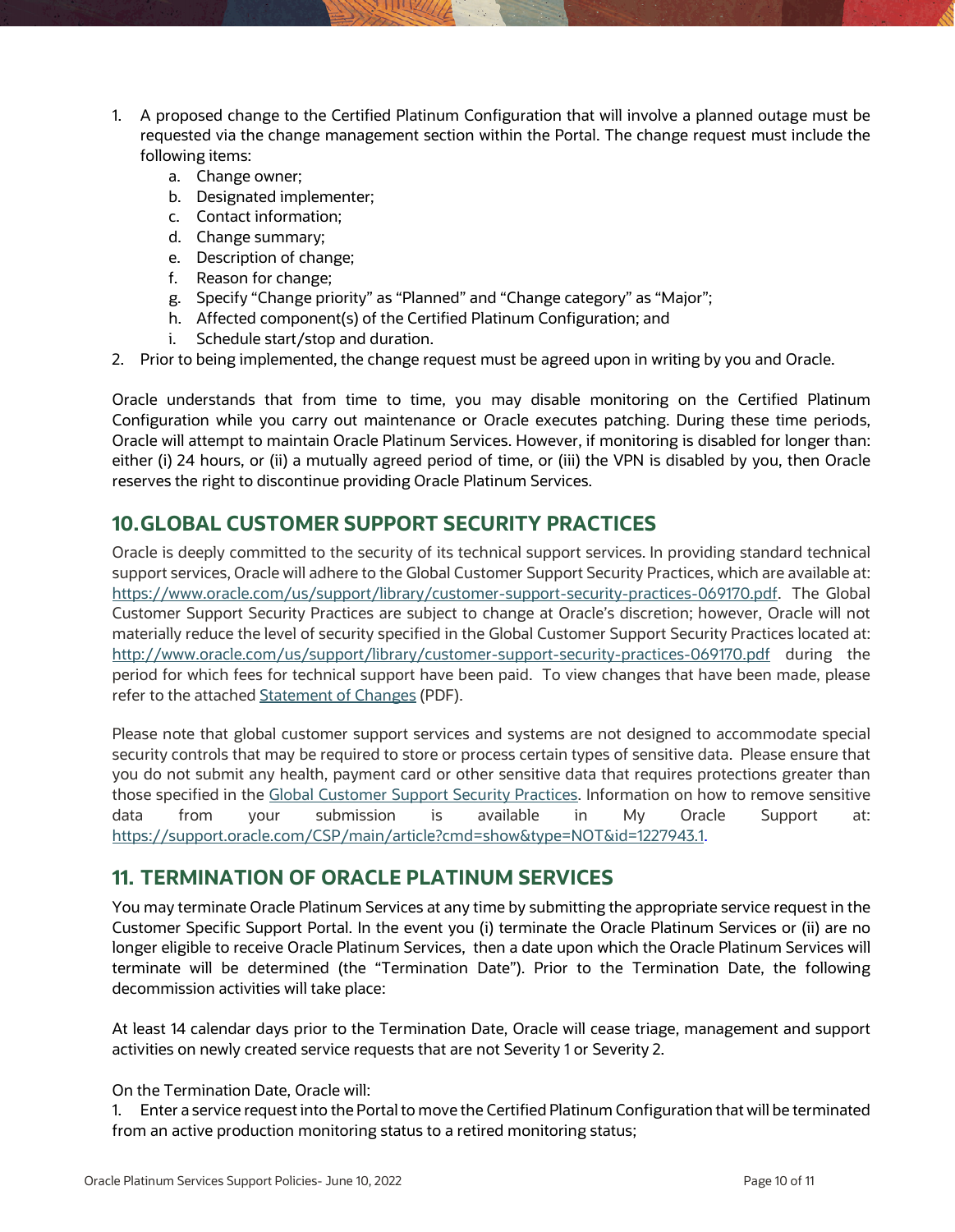- 1. A proposed change to the Certified Platinum Configuration that will involve a planned outage must be requested via the change management section within the Portal. The change request must include the following items:
	- a. Change owner;
	- b. Designated implementer;
	- c. Contact information;
	- d. Change summary;
	- e. Description of change;
	- f. Reason for change;
	- g. Specify "Change priority" as "Planned" and "Change category" as "Major";
	- h. Affected component(s) of the Certified Platinum Configuration; and
	- i. Schedule start/stop and duration.
- 2. Prior to being implemented, the change request must be agreed upon in writing by you and Oracle.

Oracle understands that from time to time, you may disable monitoring on the Certified Platinum Configuration while you carry out maintenance or Oracle executes patching. During these time periods, Oracle will attempt to maintain Oracle Platinum Services. However, if monitoring is disabled for longer than: either (i) 24 hours, or (ii) a mutually agreed period of time, or (iii) the VPN is disabled by you, then Oracle reserves the right to discontinue providing Oracle Platinum Services.

#### <span id="page-9-0"></span>**10.GLOBAL CUSTOMER SUPPORT SECURITY PRACTICES**

Oracle is deeply committed to the security of its technical support services. In providing standard technical support services, Oracle will adhere to the Global Customer Support Security Practices, which are available at: [https://www.oracle.com/us/support/library/customer-support-security-practices-069170.pdf.](https://www.oracle.com/us/support/library/customer-support-security-practices-069170.pdf) The Global Customer Support Security Practices are subject to change at Oracle's discretion; however, Oracle will not materially reduce the level of security specified in the Global Customer Support Security Practices located at: <http://www.oracle.com/us/support/library/customer-support-security-practices-069170.pdf>during the period for which fees for technical support have been paid. To view changes that have been made, please refer to the attache[d Statement of Changes](http://www.oracle.com/us/support/library/gcs-security-practices-soc-186190.pdf) (PDF).

Please note that global customer support services and systems are not designed to accommodate special security controls that may be required to store or process certain types of sensitive data. Please ensure that you do not submit any health, payment card or other sensitive data that requires protections greater than those specified in the [Global Customer Support Security Practices.](https://www.oracle.com/us/support/library/customer-support-security-practices-069170.pdf) Information on how to remove sensitive data from your submission is available in My Oracle Support at: [https://support.oracle.com/CSP/main/article?cmd=show&type=NOT&id=1227943.1.](https://support.oracle.com/CSP/main/article?cmd=show&type=NOT&id=1227943.1)

#### <span id="page-9-1"></span>**11. TERMINATION OF ORACLE PLATINUM SERVICES**

You may terminate Oracle Platinum Services at any time by submitting the appropriate service request in the Customer Specific Support Portal. In the event you (i) terminate the Oracle Platinum Services or (ii) are no longer eligible to receive Oracle Platinum Services, then a date upon which the Oracle Platinum Services will terminate will be determined (the "Termination Date"). Prior to the Termination Date, the following decommission activities will take place:

At least 14 calendar days prior to the Termination Date, Oracle will cease triage, management and support activities on newly created service requests that are not Severity 1 or Severity 2.

#### On the Termination Date, Oracle will:

1. Enter a service request into the Portal to move the Certified Platinum Configuration that will be terminated from an active production monitoring status to a retired monitoring status;